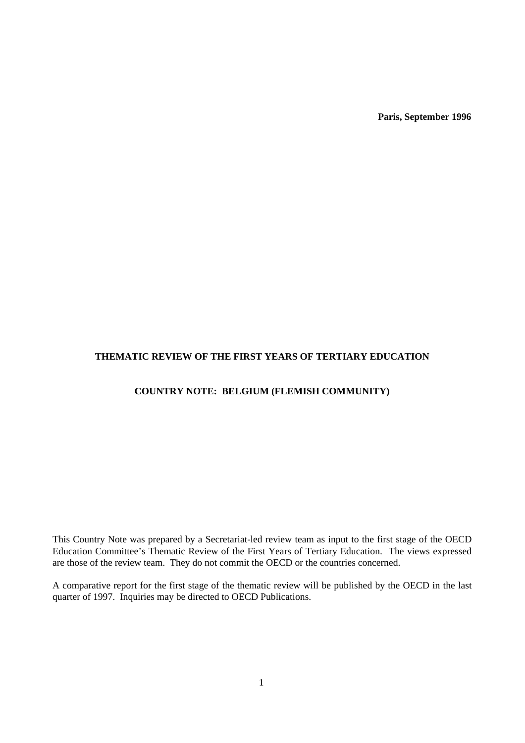**Paris, September 1996**

## **THEMATIC REVIEW OF THE FIRST YEARS OF TERTIARY EDUCATION**

## **COUNTRY NOTE: BELGIUM (FLEMISH COMMUNITY)**

This Country Note was prepared by a Secretariat-led review team as input to the first stage of the OECD Education Committee's Thematic Review of the First Years of Tertiary Education. The views expressed are those of the review team. They do not commit the OECD or the countries concerned.

A comparative report for the first stage of the thematic review will be published by the OECD in the last quarter of 1997. Inquiries may be directed to OECD Publications.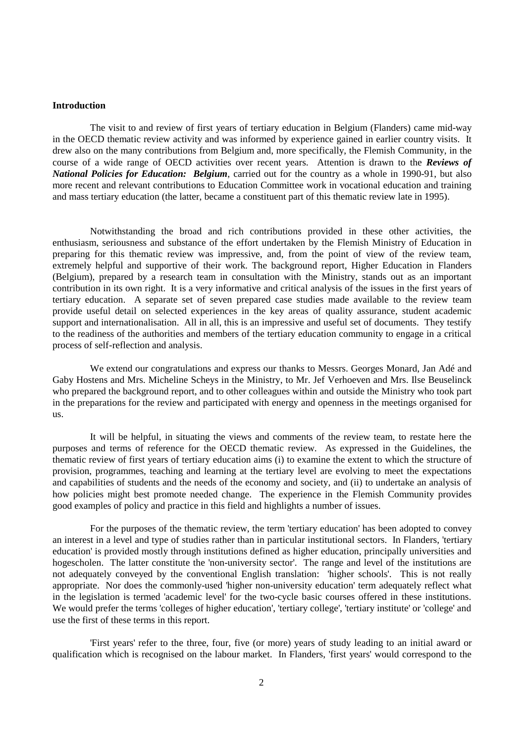### **Introduction**

The visit to and review of first years of tertiary education in Belgium (Flanders) came mid-way in the OECD thematic review activity and was informed by experience gained in earlier country visits. It drew also on the many contributions from Belgium and, more specifically, the Flemish Community, in the course of a wide range of OECD activities over recent years. Attention is drawn to the *Reviews of National Policies for Education: Belgium*, carried out for the country as a whole in 1990-91, but also more recent and relevant contributions to Education Committee work in vocational education and training and mass tertiary education (the latter, became a constituent part of this thematic review late in 1995).

Notwithstanding the broad and rich contributions provided in these other activities, the enthusiasm, seriousness and substance of the effort undertaken by the Flemish Ministry of Education in preparing for this thematic review was impressive, and, from the point of view of the review team, extremely helpful and supportive of their work. The background report, Higher Education in Flanders (Belgium), prepared by a research team in consultation with the Ministry, stands out as an important contribution in its own right. It is a very informative and critical analysis of the issues in the first years of tertiary education. A separate set of seven prepared case studies made available to the review team provide useful detail on selected experiences in the key areas of quality assurance, student academic support and internationalisation. All in all, this is an impressive and useful set of documents. They testify to the readiness of the authorities and members of the tertiary education community to engage in a critical process of self-reflection and analysis.

We extend our congratulations and express our thanks to Messrs. Georges Monard, Jan Adé and Gaby Hostens and Mrs. Micheline Scheys in the Ministry, to Mr. Jef Verhoeven and Mrs. Ilse Beuselinck who prepared the background report, and to other colleagues within and outside the Ministry who took part in the preparations for the review and participated with energy and openness in the meetings organised for us.

It will be helpful, in situating the views and comments of the review team, to restate here the purposes and terms of reference for the OECD thematic review. As expressed in the Guidelines, the thematic review of first years of tertiary education aims (i) to examine the extent to which the structure of provision, programmes, teaching and learning at the tertiary level are evolving to meet the expectations and capabilities of students and the needs of the economy and society, and (ii) to undertake an analysis of how policies might best promote needed change. The experience in the Flemish Community provides good examples of policy and practice in this field and highlights a number of issues.

For the purposes of the thematic review, the term 'tertiary education' has been adopted to convey an interest in a level and type of studies rather than in particular institutional sectors. In Flanders, 'tertiary education' is provided mostly through institutions defined as higher education, principally universities and hogescholen. The latter constitute the 'non-university sector'. The range and level of the institutions are not adequately conveyed by the conventional English translation: 'higher schools'. This is not really appropriate. Nor does the commonly-used 'higher non-university education' term adequately reflect what in the legislation is termed 'academic level' for the two-cycle basic courses offered in these institutions. We would prefer the terms 'colleges of higher education', 'tertiary college', 'tertiary institute' or 'college' and use the first of these terms in this report.

'First years' refer to the three, four, five (or more) years of study leading to an initial award or qualification which is recognised on the labour market. In Flanders, 'first years' would correspond to the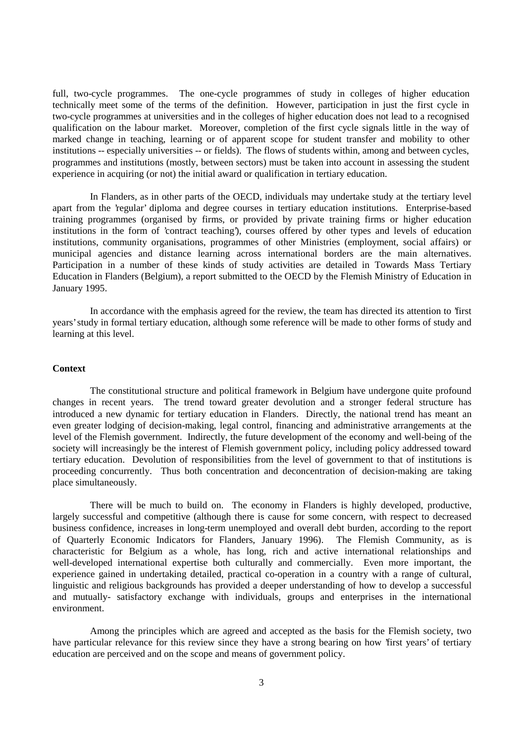full, two-cycle programmes. The one-cycle programmes of study in colleges of higher education technically meet some of the terms of the definition. However, participation in just the first cycle in two-cycle programmes at universities and in the colleges of higher education does not lead to a recognised qualification on the labour market. Moreover, completion of the first cycle signals little in the way of marked change in teaching, learning or of apparent scope for student transfer and mobility to other institutions -- especially universities -- or fields). The flows of students within, among and between cycles, programmes and institutions (mostly, between sectors) must be taken into account in assessing the student experience in acquiring (or not) the initial award or qualification in tertiary education.

In Flanders, as in other parts of the OECD, individuals may undertake study at the tertiary level apart from the 'regular' diploma and degree courses in tertiary education institutions. Enterprise-based training programmes (organised by firms, or provided by private training firms or higher education institutions in the form of 'contract teaching'), courses offered by other types and levels of education institutions, community organisations, programmes of other Ministries (employment, social affairs) or municipal agencies and distance learning across international borders are the main alternatives. Participation in a number of these kinds of study activities are detailed in Towards Mass Tertiary Education in Flanders (Belgium), a report submitted to the OECD by the Flemish Ministry of Education in January 1995.

In accordance with the emphasis agreed for the review, the team has directed its attention to 'first years' study in formal tertiary education, although some reference will be made to other forms of study and learning at this level.

#### **Context**

The constitutional structure and political framework in Belgium have undergone quite profound changes in recent years. The trend toward greater devolution and a stronger federal structure has introduced a new dynamic for tertiary education in Flanders. Directly, the national trend has meant an even greater lodging of decision-making, legal control, financing and administrative arrangements at the level of the Flemish government. Indirectly, the future development of the economy and well-being of the society will increasingly be the interest of Flemish government policy, including policy addressed toward tertiary education. Devolution of responsibilities from the level of government to that of institutions is proceeding concurrently. Thus both concentration and deconcentration of decision-making are taking place simultaneously.

There will be much to build on. The economy in Flanders is highly developed, productive, largely successful and competitive (although there is cause for some concern, with respect to decreased business confidence, increases in long-term unemployed and overall debt burden, according to the report of Quarterly Economic Indicators for Flanders, January 1996). The Flemish Community, as is characteristic for Belgium as a whole, has long, rich and active international relationships and well-developed international expertise both culturally and commercially. Even more important, the experience gained in undertaking detailed, practical co-operation in a country with a range of cultural, linguistic and religious backgrounds has provided a deeper understanding of how to develop a successful and mutually- satisfactory exchange with individuals, groups and enterprises in the international environment.

Among the principles which are agreed and accepted as the basis for the Flemish society, two have particular relevance for this review since they have a strong bearing on how 'first years' of tertiary education are perceived and on the scope and means of government policy.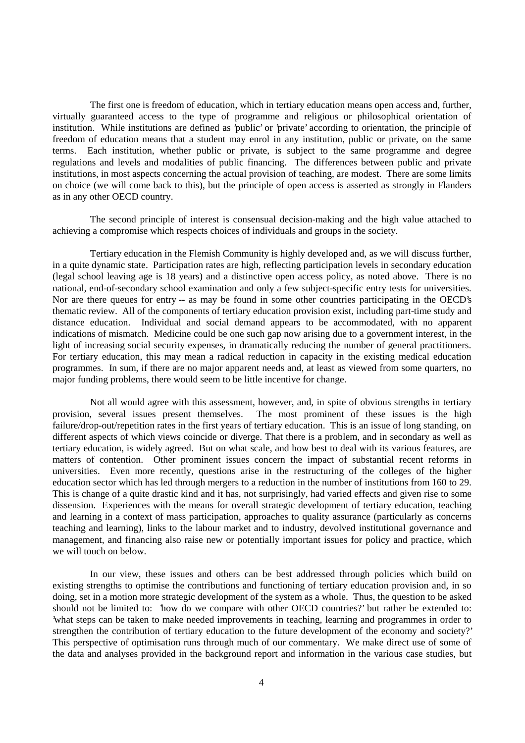The first one is freedom of education, which in tertiary education means open access and, further, virtually guaranteed access to the type of programme and religious or philosophical orientation of institution. While institutions are defined as 'public' or 'private' according to orientation, the principle of freedom of education means that a student may enrol in any institution, public or private, on the same terms. Each institution, whether public or private, is subject to the same programme and degree regulations and levels and modalities of public financing. The differences between public and private institutions, in most aspects concerning the actual provision of teaching, are modest. There are some limits on choice (we will come back to this), but the principle of open access is asserted as strongly in Flanders as in any other OECD country.

The second principle of interest is consensual decision-making and the high value attached to achieving a compromise which respects choices of individuals and groups in the society.

Tertiary education in the Flemish Community is highly developed and, as we will discuss further, in a quite dynamic state. Participation rates are high, reflecting participation levels in secondary education (legal school leaving age is 18 years) and a distinctive open access policy, as noted above. There is no national, end-of-secondary school examination and only a few subject-specific entry tests for universities. Nor are there queues for entry -- as may be found in some other countries participating in the OECD's thematic review. All of the components of tertiary education provision exist, including part-time study and distance education. Individual and social demand appears to be accommodated, with no apparent indications of mismatch. Medicine could be one such gap now arising due to a government interest, in the light of increasing social security expenses, in dramatically reducing the number of general practitioners. For tertiary education, this may mean a radical reduction in capacity in the existing medical education programmes. In sum, if there are no major apparent needs and, at least as viewed from some quarters, no major funding problems, there would seem to be little incentive for change.

Not all would agree with this assessment, however, and, in spite of obvious strengths in tertiary provision, several issues present themselves. The most prominent of these issues is the high failure/drop-out/repetition rates in the first years of tertiary education. This is an issue of long standing, on different aspects of which views coincide or diverge. That there is a problem, and in secondary as well as tertiary education, is widely agreed. But on what scale, and how best to deal with its various features, are matters of contention. Other prominent issues concern the impact of substantial recent reforms in universities. Even more recently, questions arise in the restructuring of the colleges of the higher education sector which has led through mergers to a reduction in the number of institutions from 160 to 29. This is change of a quite drastic kind and it has, not surprisingly, had varied effects and given rise to some dissension. Experiences with the means for overall strategic development of tertiary education, teaching and learning in a context of mass participation, approaches to quality assurance (particularly as concerns teaching and learning), links to the labour market and to industry, devolved institutional governance and management, and financing also raise new or potentially important issues for policy and practice, which we will touch on below.

In our view, these issues and others can be best addressed through policies which build on existing strengths to optimise the contributions and functioning of tertiary education provision and, in so doing, set in a motion more strategic development of the system as a whole. Thus, the question to be asked should not be limited to: 'how do we compare with other OECD countries?' but rather be extended to: 'what steps can be taken to make needed improvements in teaching, learning and programmes in order to strengthen the contribution of tertiary education to the future development of the economy and society?' This perspective of optimisation runs through much of our commentary. We make direct use of some of the data and analyses provided in the background report and information in the various case studies, but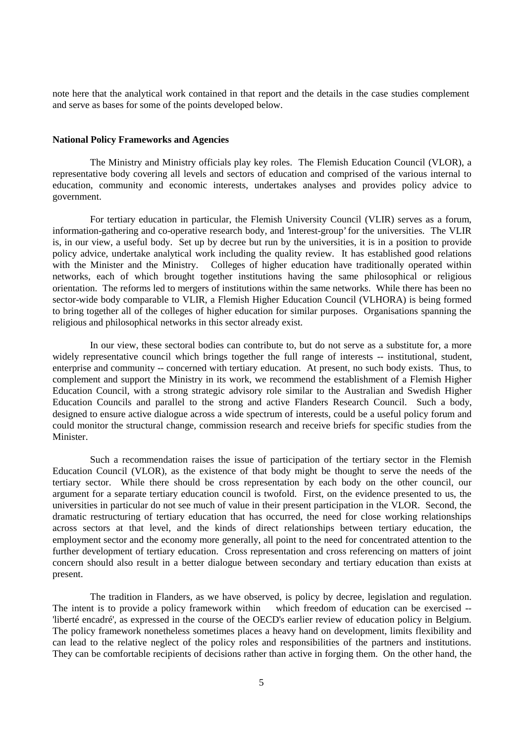note here that the analytical work contained in that report and the details in the case studies complement and serve as bases for some of the points developed below.

### **National Policy Frameworks and Agencies**

The Ministry and Ministry officials play key roles. The Flemish Education Council (VLOR), a representative body covering all levels and sectors of education and comprised of the various internal to education, community and economic interests, undertakes analyses and provides policy advice to government.

For tertiary education in particular, the Flemish University Council (VLIR) serves as a forum, information-gathering and co-operative research body, and 'interest-group' for the universities. The VLIR is, in our view, a useful body. Set up by decree but run by the universities, it is in a position to provide policy advice, undertake analytical work including the quality review. It has established good relations with the Minister and the Ministry. Colleges of higher education have traditionally operated within networks, each of which brought together institutions having the same philosophical or religious orientation. The reforms led to mergers of institutions within the same networks. While there has been no sector-wide body comparable to VLIR, a Flemish Higher Education Council (VLHORA) is being formed to bring together all of the colleges of higher education for similar purposes. Organisations spanning the religious and philosophical networks in this sector already exist.

In our view, these sectoral bodies can contribute to, but do not serve as a substitute for, a more widely representative council which brings together the full range of interests -- institutional, student, enterprise and community -- concerned with tertiary education. At present, no such body exists. Thus, to complement and support the Ministry in its work, we recommend the establishment of a Flemish Higher Education Council, with a strong strategic advisory role similar to the Australian and Swedish Higher Education Councils and parallel to the strong and active Flanders Research Council. Such a body, designed to ensure active dialogue across a wide spectrum of interests, could be a useful policy forum and could monitor the structural change, commission research and receive briefs for specific studies from the **Minister** 

Such a recommendation raises the issue of participation of the tertiary sector in the Flemish Education Council (VLOR), as the existence of that body might be thought to serve the needs of the tertiary sector. While there should be cross representation by each body on the other council, our argument for a separate tertiary education council is twofold. First, on the evidence presented to us, the universities in particular do not see much of value in their present participation in the VLOR. Second, the dramatic restructuring of tertiary education that has occurred, the need for close working relationships across sectors at that level, and the kinds of direct relationships between tertiary education, the employment sector and the economy more generally, all point to the need for concentrated attention to the further development of tertiary education. Cross representation and cross referencing on matters of joint concern should also result in a better dialogue between secondary and tertiary education than exists at present.

The tradition in Flanders, as we have observed, is policy by decree, legislation and regulation. The intent is to provide a policy framework within which freedom of education can be exercised --'liberté encadré', as expressed in the course of the OECD's earlier review of education policy in Belgium. The policy framework nonetheless sometimes places a heavy hand on development, limits flexibility and can lead to the relative neglect of the policy roles and responsibilities of the partners and institutions. They can be comfortable recipients of decisions rather than active in forging them. On the other hand, the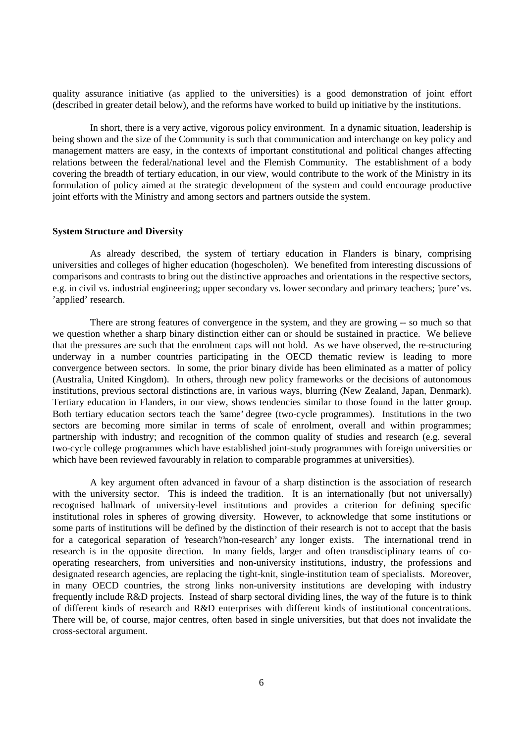quality assurance initiative (as applied to the universities) is a good demonstration of joint effort (described in greater detail below), and the reforms have worked to build up initiative by the institutions.

In short, there is a very active, vigorous policy environment. In a dynamic situation, leadership is being shown and the size of the Community is such that communication and interchange on key policy and management matters are easy, in the contexts of important constitutional and political changes affecting relations between the federal/national level and the Flemish Community. The establishment of a body covering the breadth of tertiary education, in our view, would contribute to the work of the Ministry in its formulation of policy aimed at the strategic development of the system and could encourage productive joint efforts with the Ministry and among sectors and partners outside the system.

#### **System Structure and Diversity**

As already described, the system of tertiary education in Flanders is binary, comprising universities and colleges of higher education (hogescholen). We benefited from interesting discussions of comparisons and contrasts to bring out the distinctive approaches and orientations in the respective sectors, e.g. in civil vs. industrial engineering; upper secondary vs. lower secondary and primary teachers; 'pure' vs. 'applied' research.

There are strong features of convergence in the system, and they are growing -- so much so that we question whether a sharp binary distinction either can or should be sustained in practice. We believe that the pressures are such that the enrolment caps will not hold. As we have observed, the re-structuring underway in a number countries participating in the OECD thematic review is leading to more convergence between sectors. In some, the prior binary divide has been eliminated as a matter of policy (Australia, United Kingdom). In others, through new policy frameworks or the decisions of autonomous institutions, previous sectoral distinctions are, in various ways, blurring (New Zealand, Japan, Denmark). Tertiary education in Flanders, in our view, shows tendencies similar to those found in the latter group. Both tertiary education sectors teach the 'same' degree (two-cycle programmes). Institutions in the two sectors are becoming more similar in terms of scale of enrolment, overall and within programmes; partnership with industry; and recognition of the common quality of studies and research (e.g. several two-cycle college programmes which have established joint-study programmes with foreign universities or which have been reviewed favourably in relation to comparable programmes at universities).

A key argument often advanced in favour of a sharp distinction is the association of research with the university sector. This is indeed the tradition. It is an internationally (but not universally) recognised hallmark of university-level institutions and provides a criterion for defining specific institutional roles in spheres of growing diversity. However, to acknowledge that some institutions or some parts of institutions will be defined by the distinction of their research is not to accept that the basis for a categorical separation of 'research'/'non-research' any longer exists. The international trend in research is in the opposite direction. In many fields, larger and often transdisciplinary teams of cooperating researchers, from universities and non-university institutions, industry, the professions and designated research agencies, are replacing the tight-knit, single-institution team of specialists. Moreover, in many OECD countries, the strong links non-university institutions are developing with industry frequently include R&D projects. Instead of sharp sectoral dividing lines, the way of the future is to think of different kinds of research and R&D enterprises with different kinds of institutional concentrations. There will be, of course, major centres, often based in single universities, but that does not invalidate the cross-sectoral argument.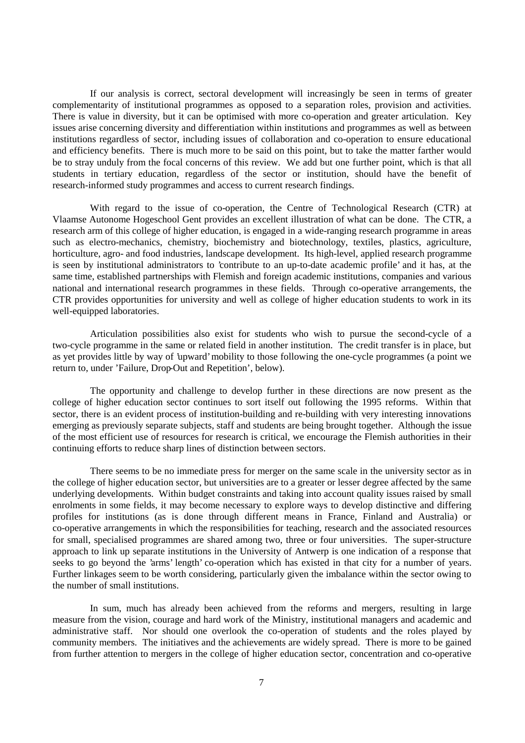If our analysis is correct, sectoral development will increasingly be seen in terms of greater complementarity of institutional programmes as opposed to a separation roles, provision and activities. There is value in diversity, but it can be optimised with more co-operation and greater articulation. Key issues arise concerning diversity and differentiation within institutions and programmes as well as between institutions regardless of sector, including issues of collaboration and co-operation to ensure educational and efficiency benefits. There is much more to be said on this point, but to take the matter farther would be to stray unduly from the focal concerns of this review. We add but one further point, which is that all students in tertiary education, regardless of the sector or institution, should have the benefit of research-informed study programmes and access to current research findings.

With regard to the issue of co-operation, the Centre of Technological Research (CTR) at Vlaamse Autonome Hogeschool Gent provides an excellent illustration of what can be done. The CTR, a research arm of this college of higher education, is engaged in a wide-ranging research programme in areas such as electro-mechanics, chemistry, biochemistry and biotechnology, textiles, plastics, agriculture, horticulture, agro- and food industries, landscape development. Its high-level, applied research programme is seen by institutional administrators to 'contribute to an up-to-date academic profile' and it has, at the same time, established partnerships with Flemish and foreign academic institutions, companies and various national and international research programmes in these fields. Through co-operative arrangements, the CTR provides opportunities for university and well as college of higher education students to work in its well-equipped laboratories.

Articulation possibilities also exist for students who wish to pursue the second-cycle of a two-cycle programme in the same or related field in another institution. The credit transfer is in place, but as yet provides little by way of 'upward' mobility to those following the one-cycle programmes (a point we return to, under 'Failure, Drop-Out and Repetition', below).

The opportunity and challenge to develop further in these directions are now present as the college of higher education sector continues to sort itself out following the 1995 reforms. Within that sector, there is an evident process of institution-building and re-building with very interesting innovations emerging as previously separate subjects, staff and students are being brought together. Although the issue of the most efficient use of resources for research is critical, we encourage the Flemish authorities in their continuing efforts to reduce sharp lines of distinction between sectors.

There seems to be no immediate press for merger on the same scale in the university sector as in the college of higher education sector, but universities are to a greater or lesser degree affected by the same underlying developments. Within budget constraints and taking into account quality issues raised by small enrolments in some fields, it may become necessary to explore ways to develop distinctive and differing profiles for institutions (as is done through different means in France, Finland and Australia) or co-operative arrangements in which the responsibilities for teaching, research and the associated resources for small, specialised programmes are shared among two, three or four universities. The super-structure approach to link up separate institutions in the University of Antwerp is one indication of a response that seeks to go beyond the 'arms' length' co-operation which has existed in that city for a number of years. Further linkages seem to be worth considering, particularly given the imbalance within the sector owing to the number of small institutions.

In sum, much has already been achieved from the reforms and mergers, resulting in large measure from the vision, courage and hard work of the Ministry, institutional managers and academic and administrative staff. Nor should one overlook the co-operation of students and the roles played by community members. The initiatives and the achievements are widely spread. There is more to be gained from further attention to mergers in the college of higher education sector, concentration and co-operative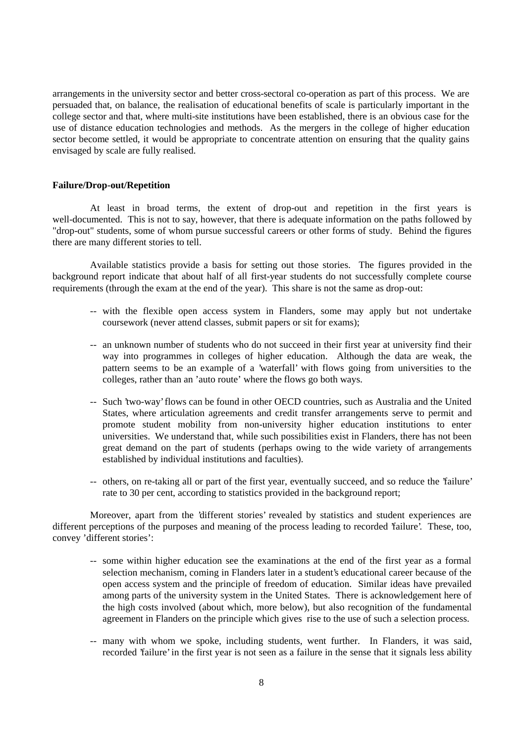arrangements in the university sector and better cross-sectoral co-operation as part of this process. We are persuaded that, on balance, the realisation of educational benefits of scale is particularly important in the college sector and that, where multi-site institutions have been established, there is an obvious case for the use of distance education technologies and methods. As the mergers in the college of higher education sector become settled, it would be appropriate to concentrate attention on ensuring that the quality gains envisaged by scale are fully realised.

#### **Failure/Drop-out/Repetition**

At least in broad terms, the extent of drop-out and repetition in the first years is well-documented. This is not to say, however, that there is adequate information on the paths followed by "drop-out" students, some of whom pursue successful careers or other forms of study. Behind the figures there are many different stories to tell.

Available statistics provide a basis for setting out those stories. The figures provided in the background report indicate that about half of all first-year students do not successfully complete course requirements (through the exam at the end of the year). This share is not the same as drop-out:

- -- with the flexible open access system in Flanders, some may apply but not undertake coursework (never attend classes, submit papers or sit for exams);
- -- an unknown number of students who do not succeed in their first year at university find their way into programmes in colleges of higher education. Although the data are weak, the pattern seems to be an example of a 'waterfall' with flows going from universities to the colleges, rather than an 'auto route' where the flows go both ways.
- -- Such 'two-way' flows can be found in other OECD countries, such as Australia and the United States, where articulation agreements and credit transfer arrangements serve to permit and promote student mobility from non-university higher education institutions to enter universities. We understand that, while such possibilities exist in Flanders, there has not been great demand on the part of students (perhaps owing to the wide variety of arrangements established by individual institutions and faculties).
- -- others, on re-taking all or part of the first year, eventually succeed, and so reduce the 'failure' rate to 30 per cent, according to statistics provided in the background report;

Moreover, apart from the 'different stories' revealed by statistics and student experiences are different perceptions of the purposes and meaning of the process leading to recorded 'failure'. These, too, convey 'different stories':

- -- some within higher education see the examinations at the end of the first year as a formal selection mechanism, coming in Flanders later in a student's educational career because of the open access system and the principle of freedom of education. Similar ideas have prevailed among parts of the university system in the United States. There is acknowledgement here of the high costs involved (about which, more below), but also recognition of the fundamental agreement in Flanders on the principle which gives rise to the use of such a selection process.
- -- many with whom we spoke, including students, went further. In Flanders, it was said, recorded 'failure' in the first year is not seen as a failure in the sense that it signals less ability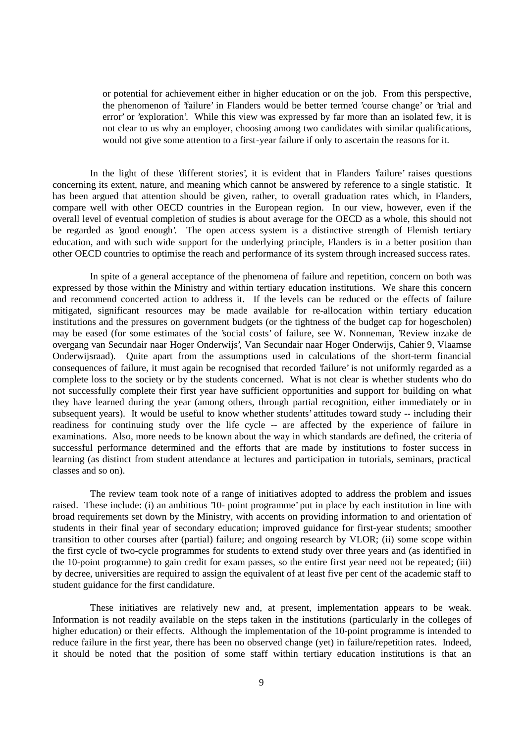or potential for achievement either in higher education or on the job. From this perspective, the phenomenon of 'failure' in Flanders would be better termed 'course change' or 'trial and error' or 'exploration'. While this view was expressed by far more than an isolated few, it is not clear to us why an employer, choosing among two candidates with similar qualifications, would not give some attention to a first-year failure if only to ascertain the reasons for it.

In the light of these 'different stories', it is evident that in Flanders 'failure' raises questions concerning its extent, nature, and meaning which cannot be answered by reference to a single statistic. It has been argued that attention should be given, rather, to overall graduation rates which, in Flanders, compare well with other OECD countries in the European region. In our view, however, even if the overall level of eventual completion of studies is about average for the OECD as a whole, this should not be regarded as 'good enough'. The open access system is a distinctive strength of Flemish tertiary education, and with such wide support for the underlying principle, Flanders is in a better position than other OECD countries to optimise the reach and performance of its system through increased success rates.

In spite of a general acceptance of the phenomena of failure and repetition, concern on both was expressed by those within the Ministry and within tertiary education institutions. We share this concern and recommend concerted action to address it. If the levels can be reduced or the effects of failure mitigated, significant resources may be made available for re-allocation within tertiary education institutions and the pressures on government budgets (or the tightness of the budget cap for hogescholen) may be eased (for some estimates of the 'social costs' of failure, see W. Nonneman, 'Review inzake de overgang van Secundair naar Hoger Onderwijs', Van Secundair naar Hoger Onderwijs, Cahier 9, Vlaamse Onderwijsraad). Quite apart from the assumptions used in calculations of the short-term financial consequences of failure, it must again be recognised that recorded 'failure' is not uniformly regarded as a complete loss to the society or by the students concerned. What is not clear is whether students who do not successfully complete their first year have sufficient opportunities and support for building on what they have learned during the year (among others, through partial recognition, either immediately or in subsequent years). It would be useful to know whether students' attitudes toward study -- including their readiness for continuing study over the life cycle -- are affected by the experience of failure in examinations. Also, more needs to be known about the way in which standards are defined, the criteria of successful performance determined and the efforts that are made by institutions to foster success in learning (as distinct from student attendance at lectures and participation in tutorials, seminars, practical classes and so on).

The review team took note of a range of initiatives adopted to address the problem and issues raised. These include: (i) an ambitious '10- point programme' put in place by each institution in line with broad requirements set down by the Ministry, with accents on providing information to and orientation of students in their final year of secondary education; improved guidance for first-year students; smoother transition to other courses after (partial) failure; and ongoing research by VLOR; (ii) some scope within the first cycle of two-cycle programmes for students to extend study over three years and (as identified in the 10-point programme) to gain credit for exam passes, so the entire first year need not be repeated; (iii) by decree, universities are required to assign the equivalent of at least five per cent of the academic staff to student guidance for the first candidature.

These initiatives are relatively new and, at present, implementation appears to be weak. Information is not readily available on the steps taken in the institutions (particularly in the colleges of higher education) or their effects. Although the implementation of the 10-point programme is intended to reduce failure in the first year, there has been no observed change (yet) in failure/repetition rates. Indeed, it should be noted that the position of some staff within tertiary education institutions is that an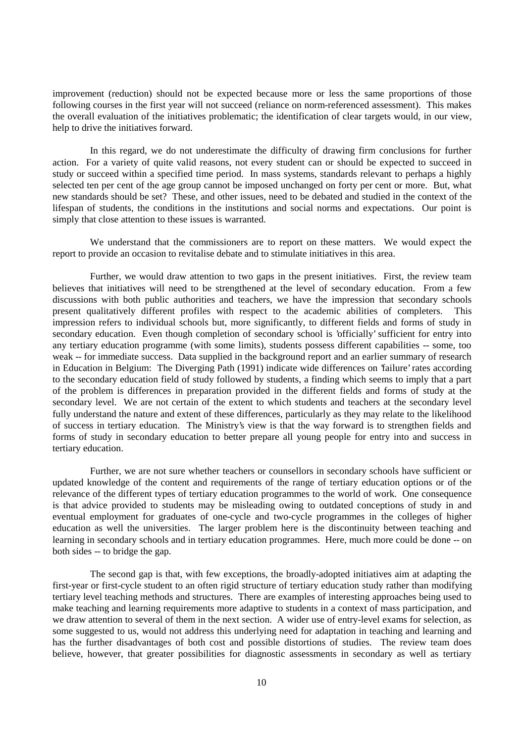improvement (reduction) should not be expected because more or less the same proportions of those following courses in the first year will not succeed (reliance on norm-referenced assessment). This makes the overall evaluation of the initiatives problematic; the identification of clear targets would, in our view, help to drive the initiatives forward.

In this regard, we do not underestimate the difficulty of drawing firm conclusions for further action. For a variety of quite valid reasons, not every student can or should be expected to succeed in study or succeed within a specified time period. In mass systems, standards relevant to perhaps a highly selected ten per cent of the age group cannot be imposed unchanged on forty per cent or more. But, what new standards should be set? These, and other issues, need to be debated and studied in the context of the lifespan of students, the conditions in the institutions and social norms and expectations. Our point is simply that close attention to these issues is warranted.

We understand that the commissioners are to report on these matters. We would expect the report to provide an occasion to revitalise debate and to stimulate initiatives in this area.

Further, we would draw attention to two gaps in the present initiatives. First, the review team believes that initiatives will need to be strengthened at the level of secondary education. From a few discussions with both public authorities and teachers, we have the impression that secondary schools present qualitatively different profiles with respect to the academic abilities of completers. This impression refers to individual schools but, more significantly, to different fields and forms of study in secondary education. Even though completion of secondary school is 'officially' sufficient for entry into any tertiary education programme (with some limits), students possess different capabilities -- some, too weak -- for immediate success. Data supplied in the background report and an earlier summary of research in Education in Belgium: The Diverging Path (1991) indicate wide differences on 'failure' rates according to the secondary education field of study followed by students, a finding which seems to imply that a part of the problem is differences in preparation provided in the different fields and forms of study at the secondary level. We are not certain of the extent to which students and teachers at the secondary level fully understand the nature and extent of these differences, particularly as they may relate to the likelihood of success in tertiary education. The Ministry's view is that the way forward is to strengthen fields and forms of study in secondary education to better prepare all young people for entry into and success in tertiary education.

Further, we are not sure whether teachers or counsellors in secondary schools have sufficient or updated knowledge of the content and requirements of the range of tertiary education options or of the relevance of the different types of tertiary education programmes to the world of work. One consequence is that advice provided to students may be misleading owing to outdated conceptions of study in and eventual employment for graduates of one-cycle and two-cycle programmes in the colleges of higher education as well the universities. The larger problem here is the discontinuity between teaching and learning in secondary schools and in tertiary education programmes. Here, much more could be done -- on both sides -- to bridge the gap.

The second gap is that, with few exceptions, the broadly-adopted initiatives aim at adapting the first-year or first-cycle student to an often rigid structure of tertiary education study rather than modifying tertiary level teaching methods and structures. There are examples of interesting approaches being used to make teaching and learning requirements more adaptive to students in a context of mass participation, and we draw attention to several of them in the next section. A wider use of entry-level exams for selection, as some suggested to us, would not address this underlying need for adaptation in teaching and learning and has the further disadvantages of both cost and possible distortions of studies. The review team does believe, however, that greater possibilities for diagnostic assessments in secondary as well as tertiary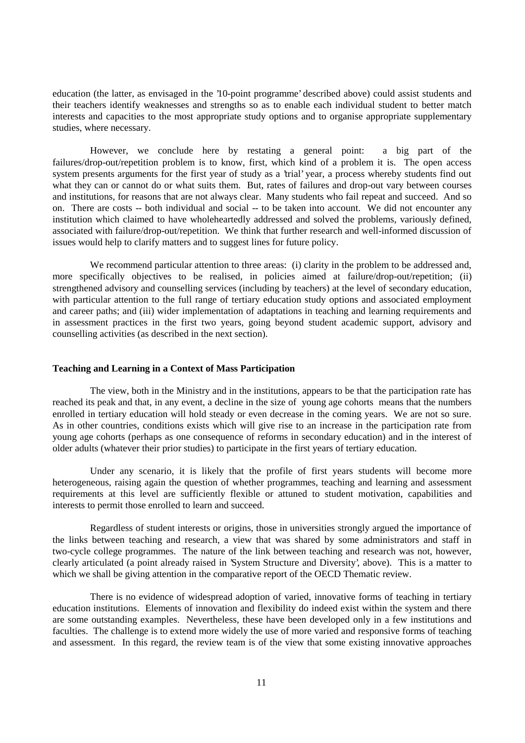education (the latter, as envisaged in the '10-point programme' described above) could assist students and their teachers identify weaknesses and strengths so as to enable each individual student to better match interests and capacities to the most appropriate study options and to organise appropriate supplementary studies, where necessary.

However, we conclude here by restating a general point: a big part of the failures/drop-out/repetition problem is to know, first, which kind of a problem it is. The open access system presents arguments for the first year of study as a 'trial' year, a process whereby students find out what they can or cannot do or what suits them. But, rates of failures and drop-out vary between courses and institutions, for reasons that are not always clear. Many students who fail repeat and succeed. And so on. There are costs -- both individual and social -- to be taken into account. We did not encounter any institution which claimed to have wholeheartedly addressed and solved the problems, variously defined, associated with failure/drop-out/repetition. We think that further research and well-informed discussion of issues would help to clarify matters and to suggest lines for future policy.

We recommend particular attention to three areas: (i) clarity in the problem to be addressed and, more specifically objectives to be realised, in policies aimed at failure/drop-out/repetition; (ii) strengthened advisory and counselling services (including by teachers) at the level of secondary education, with particular attention to the full range of tertiary education study options and associated employment and career paths; and (iii) wider implementation of adaptations in teaching and learning requirements and in assessment practices in the first two years, going beyond student academic support, advisory and counselling activities (as described in the next section).

#### **Teaching and Learning in a Context of Mass Participation**

The view, both in the Ministry and in the institutions, appears to be that the participation rate has reached its peak and that, in any event, a decline in the size of young age cohorts means that the numbers enrolled in tertiary education will hold steady or even decrease in the coming years. We are not so sure. As in other countries, conditions exists which will give rise to an increase in the participation rate from young age cohorts (perhaps as one consequence of reforms in secondary education) and in the interest of older adults (whatever their prior studies) to participate in the first years of tertiary education.

Under any scenario, it is likely that the profile of first years students will become more heterogeneous, raising again the question of whether programmes, teaching and learning and assessment requirements at this level are sufficiently flexible or attuned to student motivation, capabilities and interests to permit those enrolled to learn and succeed.

Regardless of student interests or origins, those in universities strongly argued the importance of the links between teaching and research, a view that was shared by some administrators and staff in two-cycle college programmes. The nature of the link between teaching and research was not, however, clearly articulated (a point already raised in 'System Structure and Diversity', above). This is a matter to which we shall be giving attention in the comparative report of the OECD Thematic review.

There is no evidence of widespread adoption of varied, innovative forms of teaching in tertiary education institutions. Elements of innovation and flexibility do indeed exist within the system and there are some outstanding examples. Nevertheless, these have been developed only in a few institutions and faculties. The challenge is to extend more widely the use of more varied and responsive forms of teaching and assessment. In this regard, the review team is of the view that some existing innovative approaches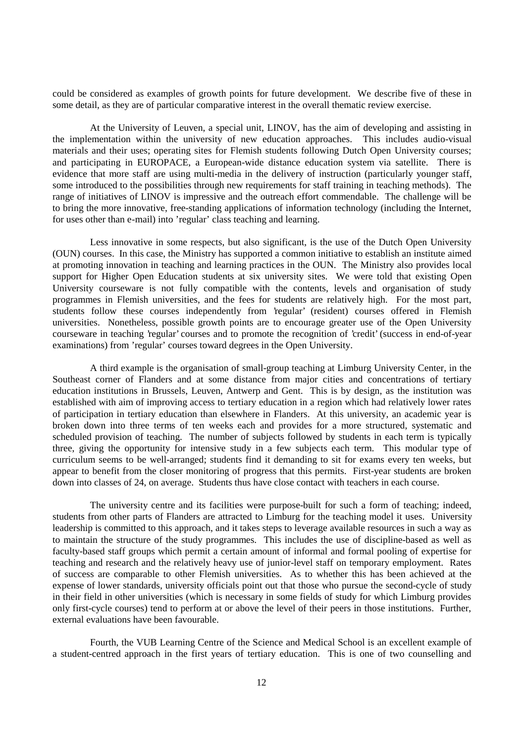could be considered as examples of growth points for future development. We describe five of these in some detail, as they are of particular comparative interest in the overall thematic review exercise.

At the University of Leuven, a special unit, LINOV, has the aim of developing and assisting in the implementation within the university of new education approaches. This includes audio-visual materials and their uses; operating sites for Flemish students following Dutch Open University courses; and participating in EUROPACE, a European-wide distance education system via satellite. There is evidence that more staff are using multi-media in the delivery of instruction (particularly younger staff, some introduced to the possibilities through new requirements for staff training in teaching methods). The range of initiatives of LINOV is impressive and the outreach effort commendable. The challenge will be to bring the more innovative, free-standing applications of information technology (including the Internet, for uses other than e-mail) into 'regular' class teaching and learning.

Less innovative in some respects, but also significant, is the use of the Dutch Open University (OUN) courses. In this case, the Ministry has supported a common initiative to establish an institute aimed at promoting innovation in teaching and learning practices in the OUN. The Ministry also provides local support for Higher Open Education students at six university sites. We were told that existing Open University courseware is not fully compatible with the contents, levels and organisation of study programmes in Flemish universities, and the fees for students are relatively high. For the most part, students follow these courses independently from 'regular' (resident) courses offered in Flemish universities. Nonetheless, possible growth points are to encourage greater use of the Open University courseware in teaching 'regular' courses and to promote the recognition of 'credit' (success in end-of-year examinations) from 'regular' courses toward degrees in the Open University.

A third example is the organisation of small-group teaching at Limburg University Center, in the Southeast corner of Flanders and at some distance from major cities and concentrations of tertiary education institutions in Brussels, Leuven, Antwerp and Gent. This is by design, as the institution was established with aim of improving access to tertiary education in a region which had relatively lower rates of participation in tertiary education than elsewhere in Flanders. At this university, an academic year is broken down into three terms of ten weeks each and provides for a more structured, systematic and scheduled provision of teaching. The number of subjects followed by students in each term is typically three, giving the opportunity for intensive study in a few subjects each term. This modular type of curriculum seems to be well-arranged; students find it demanding to sit for exams every ten weeks, but appear to benefit from the closer monitoring of progress that this permits. First-year students are broken down into classes of 24, on average. Students thus have close contact with teachers in each course.

The university centre and its facilities were purpose-built for such a form of teaching; indeed, students from other parts of Flanders are attracted to Limburg for the teaching model it uses. University leadership is committed to this approach, and it takes steps to leverage available resources in such a way as to maintain the structure of the study programmes. This includes the use of discipline-based as well as faculty-based staff groups which permit a certain amount of informal and formal pooling of expertise for teaching and research and the relatively heavy use of junior-level staff on temporary employment. Rates of success are comparable to other Flemish universities. As to whether this has been achieved at the expense of lower standards, university officials point out that those who pursue the second-cycle of study in their field in other universities (which is necessary in some fields of study for which Limburg provides only first-cycle courses) tend to perform at or above the level of their peers in those institutions. Further, external evaluations have been favourable.

Fourth, the VUB Learning Centre of the Science and Medical School is an excellent example of a student-centred approach in the first years of tertiary education. This is one of two counselling and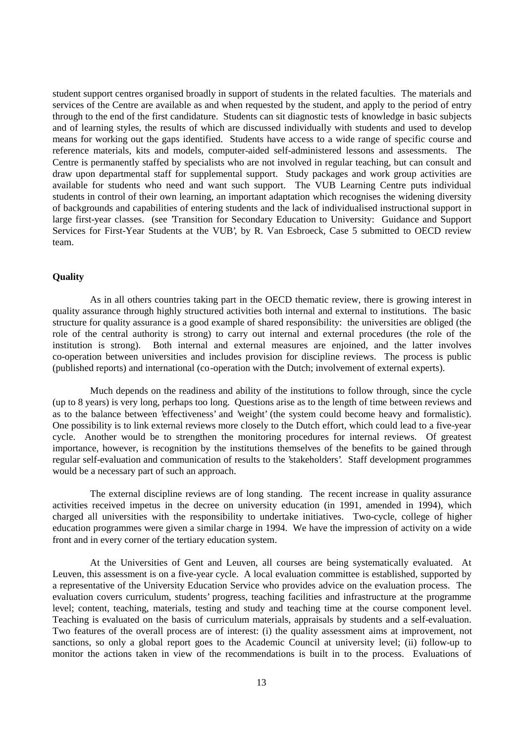student support centres organised broadly in support of students in the related faculties. The materials and services of the Centre are available as and when requested by the student, and apply to the period of entry through to the end of the first candidature. Students can sit diagnostic tests of knowledge in basic subjects and of learning styles, the results of which are discussed individually with students and used to develop means for working out the gaps identified. Students have access to a wide range of specific course and reference materials, kits and models, computer-aided self-administered lessons and assessments. The Centre is permanently staffed by specialists who are not involved in regular teaching, but can consult and draw upon departmental staff for supplemental support. Study packages and work group activities are available for students who need and want such support. The VUB Learning Centre puts individual students in control of their own learning, an important adaptation which recognises the widening diversity of backgrounds and capabilities of entering students and the lack of individualised instructional support in large first-year classes. (see 'Transition for Secondary Education to University: Guidance and Support Services for First-Year Students at the VUB', by R. Van Esbroeck, Case 5 submitted to OECD review team.

### **Quality**

As in all others countries taking part in the OECD thematic review, there is growing interest in quality assurance through highly structured activities both internal and external to institutions. The basic structure for quality assurance is a good example of shared responsibility: the universities are obliged (the role of the central authority is strong) to carry out internal and external procedures (the role of the institution is strong). Both internal and external measures are enjoined, and the latter involves co-operation between universities and includes provision for discipline reviews. The process is public (published reports) and international (co-operation with the Dutch; involvement of external experts).

Much depends on the readiness and ability of the institutions to follow through, since the cycle (up to 8 years) is very long, perhaps too long. Questions arise as to the length of time between reviews and as to the balance between 'effectiveness' and 'weight' (the system could become heavy and formalistic). One possibility is to link external reviews more closely to the Dutch effort, which could lead to a five-year cycle. Another would be to strengthen the monitoring procedures for internal reviews. Of greatest importance, however, is recognition by the institutions themselves of the benefits to be gained through regular self-evaluation and communication of results to the 'stakeholders'. Staff development programmes would be a necessary part of such an approach.

The external discipline reviews are of long standing. The recent increase in quality assurance activities received impetus in the decree on university education (in 1991, amended in 1994), which charged all universities with the responsibility to undertake initiatives. Two-cycle, college of higher education programmes were given a similar charge in 1994. We have the impression of activity on a wide front and in every corner of the tertiary education system.

At the Universities of Gent and Leuven, all courses are being systematically evaluated. At Leuven, this assessment is on a five-year cycle. A local evaluation committee is established, supported by a representative of the University Education Service who provides advice on the evaluation process. The evaluation covers curriculum, students' progress, teaching facilities and infrastructure at the programme level; content, teaching, materials, testing and study and teaching time at the course component level. Teaching is evaluated on the basis of curriculum materials, appraisals by students and a self-evaluation. Two features of the overall process are of interest: (i) the quality assessment aims at improvement, not sanctions, so only a global report goes to the Academic Council at university level; (ii) follow-up to monitor the actions taken in view of the recommendations is built in to the process. Evaluations of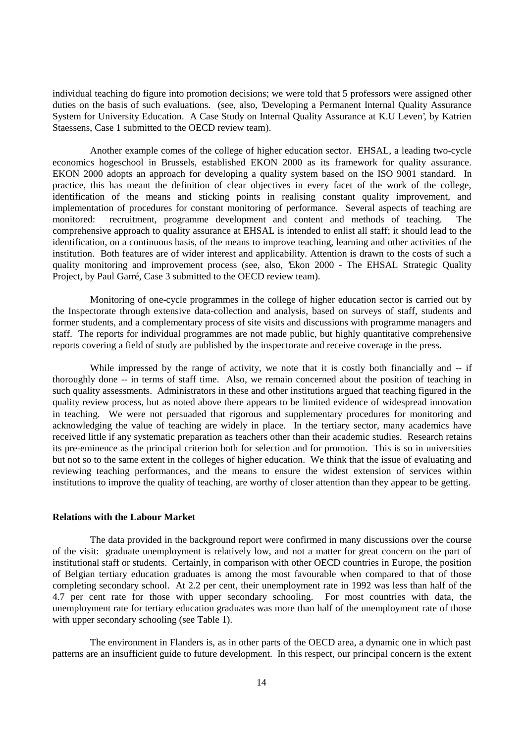individual teaching do figure into promotion decisions; we were told that 5 professors were assigned other duties on the basis of such evaluations. (see, also, 'Developing a Permanent Internal Quality Assurance System for University Education. A Case Study on Internal Quality Assurance at K.U Leven', by Katrien Staessens, Case 1 submitted to the OECD review team).

Another example comes of the college of higher education sector. EHSAL, a leading two-cycle economics hogeschool in Brussels, established EKON 2000 as its framework for quality assurance. EKON 2000 adopts an approach for developing a quality system based on the ISO 9001 standard. In practice, this has meant the definition of clear objectives in every facet of the work of the college, identification of the means and sticking points in realising constant quality improvement, and implementation of procedures for constant monitoring of performance. Several aspects of teaching are monitored: recruitment, programme development and content and methods of teaching. The comprehensive approach to quality assurance at EHSAL is intended to enlist all staff; it should lead to the identification, on a continuous basis, of the means to improve teaching, learning and other activities of the institution. Both features are of wider interest and applicability. Attention is drawn to the costs of such a quality monitoring and improvement process (see, also, 'Ekon 2000 - The EHSAL Strategic Quality Project, by Paul Garré, Case 3 submitted to the OECD review team).

Monitoring of one-cycle programmes in the college of higher education sector is carried out by the Inspectorate through extensive data-collection and analysis, based on surveys of staff, students and former students, and a complementary process of site visits and discussions with programme managers and staff. The reports for individual programmes are not made public, but highly quantitative comprehensive reports covering a field of study are published by the inspectorate and receive coverage in the press.

While impressed by the range of activity, we note that it is costly both financially and -- if thoroughly done -- in terms of staff time. Also, we remain concerned about the position of teaching in such quality assessments. Administrators in these and other institutions argued that teaching figured in the quality review process, but as noted above there appears to be limited evidence of widespread innovation in teaching. We were not persuaded that rigorous and supplementary procedures for monitoring and acknowledging the value of teaching are widely in place. In the tertiary sector, many academics have received little if any systematic preparation as teachers other than their academic studies. Research retains its pre-eminence as the principal criterion both for selection and for promotion. This is so in universities but not so to the same extent in the colleges of higher education. We think that the issue of evaluating and reviewing teaching performances, and the means to ensure the widest extension of services within institutions to improve the quality of teaching, are worthy of closer attention than they appear to be getting.

## **Relations with the Labour Market**

The data provided in the background report were confirmed in many discussions over the course of the visit: graduate unemployment is relatively low, and not a matter for great concern on the part of institutional staff or students. Certainly, in comparison with other OECD countries in Europe, the position of Belgian tertiary education graduates is among the most favourable when compared to that of those completing secondary school. At 2.2 per cent, their unemployment rate in 1992 was less than half of the 4.7 per cent rate for those with upper secondary schooling. For most countries with data, the unemployment rate for tertiary education graduates was more than half of the unemployment rate of those with upper secondary schooling (see Table 1).

The environment in Flanders is, as in other parts of the OECD area, a dynamic one in which past patterns are an insufficient guide to future development. In this respect, our principal concern is the extent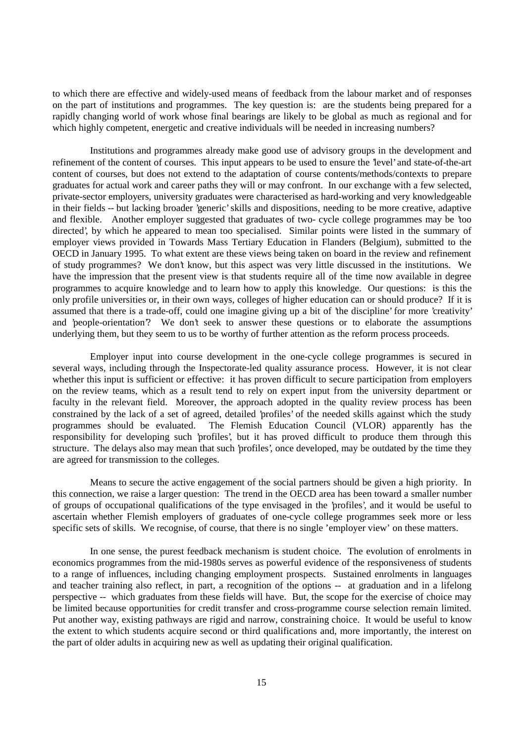to which there are effective and widely-used means of feedback from the labour market and of responses on the part of institutions and programmes. The key question is: are the students being prepared for a rapidly changing world of work whose final bearings are likely to be global as much as regional and for which highly competent, energetic and creative individuals will be needed in increasing numbers?

Institutions and programmes already make good use of advisory groups in the development and refinement of the content of courses. This input appears to be used to ensure the 'level' and state-of-the-art content of courses, but does not extend to the adaptation of course contents/methods/contexts to prepare graduates for actual work and career paths they will or may confront. In our exchange with a few selected, private-sector employers, university graduates were characterised as hard-working and very knowledgeable in their fields -- but lacking broader 'generic' skills and dispositions, needing to be more creative, adaptive and flexible. Another employer suggested that graduates of two- cycle college programmes may be 'too directed', by which he appeared to mean too specialised. Similar points were listed in the summary of employer views provided in Towards Mass Tertiary Education in Flanders (Belgium), submitted to the OECD in January 1995. To what extent are these views being taken on board in the review and refinement of study programmes? We don't know, but this aspect was very little discussed in the institutions. We have the impression that the present view is that students require all of the time now available in degree programmes to acquire knowledge and to learn how to apply this knowledge. Our questions: is this the only profile universities or, in their own ways, colleges of higher education can or should produce? If it is assumed that there is a trade-off, could one imagine giving up a bit of 'the discipline' for more 'creativity' and 'people-orientation'? We don't seek to answer these questions or to elaborate the assumptions underlying them, but they seem to us to be worthy of further attention as the reform process proceeds.

Employer input into course development in the one-cycle college programmes is secured in several ways, including through the Inspectorate-led quality assurance process. However, it is not clear whether this input is sufficient or effective: it has proven difficult to secure participation from employers on the review teams, which as a result tend to rely on expert input from the university department or faculty in the relevant field. Moreover, the approach adopted in the quality review process has been constrained by the lack of a set of agreed, detailed 'profiles' of the needed skills against which the study programmes should be evaluated. The Flemish Education Council (VLOR) apparently has the responsibility for developing such 'profiles', but it has proved difficult to produce them through this structure. The delays also may mean that such 'profiles', once developed, may be outdated by the time they are agreed for transmission to the colleges.

Means to secure the active engagement of the social partners should be given a high priority. In this connection, we raise a larger question: The trend in the OECD area has been toward a smaller number of groups of occupational qualifications of the type envisaged in the 'profiles', and it would be useful to ascertain whether Flemish employers of graduates of one-cycle college programmes seek more or less specific sets of skills. We recognise, of course, that there is no single 'employer view' on these matters.

In one sense, the purest feedback mechanism is student choice. The evolution of enrolments in economics programmes from the mid-1980s serves as powerful evidence of the responsiveness of students to a range of influences, including changing employment prospects. Sustained enrolments in languages and teacher training also reflect, in part, a recognition of the options -- at graduation and in a lifelong perspective -- which graduates from these fields will have. But, the scope for the exercise of choice may be limited because opportunities for credit transfer and cross-programme course selection remain limited. Put another way, existing pathways are rigid and narrow, constraining choice. It would be useful to know the extent to which students acquire second or third qualifications and, more importantly, the interest on the part of older adults in acquiring new as well as updating their original qualification.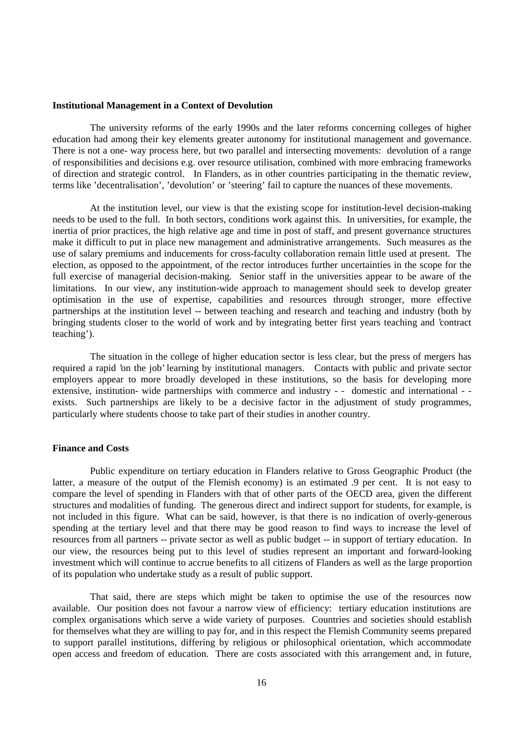#### **Institutional Management in a Context of Devolution**

The university reforms of the early 1990s and the later reforms concerning colleges of higher education had among their key elements greater autonomy for institutional management and governance. There is not a one- way process here, but two parallel and intersecting movements: devolution of a range of responsibilities and decisions e.g. over resource utilisation, combined with more embracing frameworks of direction and strategic control. In Flanders, as in other countries participating in the thematic review, terms like 'decentralisation', 'devolution' or 'steering' fail to capture the nuances of these movements.

At the institution level, our view is that the existing scope for institution-level decision-making needs to be used to the full. In both sectors, conditions work against this. In universities, for example, the inertia of prior practices, the high relative age and time in post of staff, and present governance structures make it difficult to put in place new management and administrative arrangements. Such measures as the use of salary premiums and inducements for cross-faculty collaboration remain little used at present. The election, as opposed to the appointment, of the rector introduces further uncertainties in the scope for the full exercise of managerial decision-making. Senior staff in the universities appear to be aware of the limitations. In our view, any institution-wide approach to management should seek to develop greater optimisation in the use of expertise, capabilities and resources through stronger, more effective partnerships at the institution level -- between teaching and research and teaching and industry (both by bringing students closer to the world of work and by integrating better first years teaching and 'contract teaching').

The situation in the college of higher education sector is less clear, but the press of mergers has required a rapid 'on the job' learning by institutional managers. Contacts with public and private sector employers appear to more broadly developed in these institutions, so the basis for developing more extensive, institution- wide partnerships with commerce and industry - - domestic and international - exists. Such partnerships are likely to be a decisive factor in the adjustment of study programmes, particularly where students choose to take part of their studies in another country.

### **Finance and Costs**

Public expenditure on tertiary education in Flanders relative to Gross Geographic Product (the latter, a measure of the output of the Flemish economy) is an estimated .9 per cent. It is not easy to compare the level of spending in Flanders with that of other parts of the OECD area, given the different structures and modalities of funding. The generous direct and indirect support for students, for example, is not included in this figure. What can be said, however, is that there is no indication of overly-generous spending at the tertiary level and that there may be good reason to find ways to increase the level of resources from all partners -- private sector as well as public budget -- in support of tertiary education. In our view, the resources being put to this level of studies represent an important and forward-looking investment which will continue to accrue benefits to all citizens of Flanders as well as the large proportion of its population who undertake study as a result of public support.

That said, there are steps which might be taken to optimise the use of the resources now available. Our position does not favour a narrow view of efficiency: tertiary education institutions are complex organisations which serve a wide variety of purposes. Countries and societies should establish for themselves what they are willing to pay for, and in this respect the Flemish Community seems prepared to support parallel institutions, differing by religious or philosophical orientation, which accommodate open access and freedom of education. There are costs associated with this arrangement and, in future,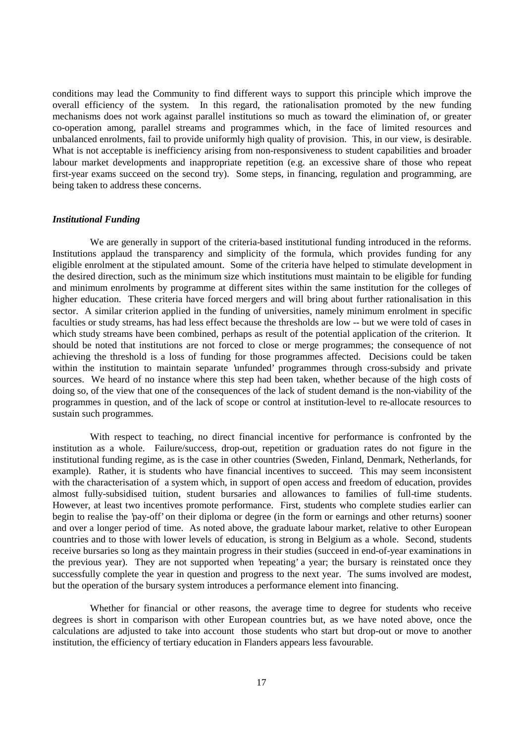conditions may lead the Community to find different ways to support this principle which improve the overall efficiency of the system. In this regard, the rationalisation promoted by the new funding mechanisms does not work against parallel institutions so much as toward the elimination of, or greater co-operation among, parallel streams and programmes which, in the face of limited resources and unbalanced enrolments, fail to provide uniformly high quality of provision. This, in our view, is desirable. What is not acceptable is inefficiency arising from non-responsiveness to student capabilities and broader labour market developments and inappropriate repetition (e.g. an excessive share of those who repeat first-year exams succeed on the second try). Some steps, in financing, regulation and programming, are being taken to address these concerns.

#### *Institutional Funding*

We are generally in support of the criteria-based institutional funding introduced in the reforms. Institutions applaud the transparency and simplicity of the formula, which provides funding for any eligible enrolment at the stipulated amount. Some of the criteria have helped to stimulate development in the desired direction, such as the minimum size which institutions must maintain to be eligible for funding and minimum enrolments by programme at different sites within the same institution for the colleges of higher education. These criteria have forced mergers and will bring about further rationalisation in this sector. A similar criterion applied in the funding of universities, namely minimum enrolment in specific faculties or study streams, has had less effect because the thresholds are low -- but we were told of cases in which study streams have been combined, perhaps as result of the potential application of the criterion. It should be noted that institutions are not forced to close or merge programmes; the consequence of not achieving the threshold is a loss of funding for those programmes affected. Decisions could be taken within the institution to maintain separate 'unfunded' programmes through cross-subsidy and private sources. We heard of no instance where this step had been taken, whether because of the high costs of doing so, of the view that one of the consequences of the lack of student demand is the non-viability of the programmes in question, and of the lack of scope or control at institution-level to re-allocate resources to sustain such programmes.

With respect to teaching, no direct financial incentive for performance is confronted by the institution as a whole. Failure/success, drop-out, repetition or graduation rates do not figure in the institutional funding regime, as is the case in other countries (Sweden, Finland, Denmark, Netherlands, for example). Rather, it is students who have financial incentives to succeed. This may seem inconsistent with the characterisation of a system which, in support of open access and freedom of education, provides almost fully-subsidised tuition, student bursaries and allowances to families of full-time students. However, at least two incentives promote performance. First, students who complete studies earlier can begin to realise the 'pay-off' on their diploma or degree (in the form or earnings and other returns) sooner and over a longer period of time. As noted above, the graduate labour market, relative to other European countries and to those with lower levels of education, is strong in Belgium as a whole. Second, students receive bursaries so long as they maintain progress in their studies (succeed in end-of-year examinations in the previous year). They are not supported when 'repeating' a year; the bursary is reinstated once they successfully complete the year in question and progress to the next year. The sums involved are modest, but the operation of the bursary system introduces a performance element into financing.

Whether for financial or other reasons, the average time to degree for students who receive degrees is short in comparison with other European countries but, as we have noted above, once the calculations are adjusted to take into account those students who start but drop-out or move to another institution, the efficiency of tertiary education in Flanders appears less favourable.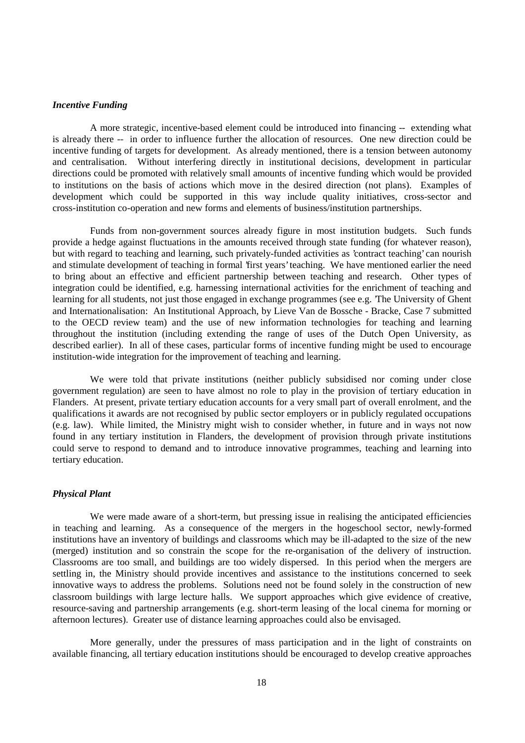#### *Incentive Funding*

A more strategic, incentive-based element could be introduced into financing -- extending what is already there -- in order to influence further the allocation of resources. One new direction could be incentive funding of targets for development. As already mentioned, there is a tension between autonomy and centralisation. Without interfering directly in institutional decisions, development in particular directions could be promoted with relatively small amounts of incentive funding which would be provided to institutions on the basis of actions which move in the desired direction (not plans). Examples of development which could be supported in this way include quality initiatives, cross-sector and cross-institution co-operation and new forms and elements of business/institution partnerships.

Funds from non-government sources already figure in most institution budgets. Such funds provide a hedge against fluctuations in the amounts received through state funding (for whatever reason), but with regard to teaching and learning, such privately-funded activities as 'contract teaching' can nourish and stimulate development of teaching in formal 'first years' teaching. We have mentioned earlier the need to bring about an effective and efficient partnership between teaching and research. Other types of integration could be identified, e.g. harnessing international activities for the enrichment of teaching and learning for all students, not just those engaged in exchange programmes (see e.g. 'The University of Ghent and Internationalisation: An Institutional Approach, by Lieve Van de Bossche - Bracke, Case 7 submitted to the OECD review team) and the use of new information technologies for teaching and learning throughout the institution (including extending the range of uses of the Dutch Open University, as described earlier). In all of these cases, particular forms of incentive funding might be used to encourage institution-wide integration for the improvement of teaching and learning.

We were told that private institutions (neither publicly subsidised nor coming under close government regulation) are seen to have almost no role to play in the provision of tertiary education in Flanders. At present, private tertiary education accounts for a very small part of overall enrolment, and the qualifications it awards are not recognised by public sector employers or in publicly regulated occupations (e.g. law). While limited, the Ministry might wish to consider whether, in future and in ways not now found in any tertiary institution in Flanders, the development of provision through private institutions could serve to respond to demand and to introduce innovative programmes, teaching and learning into tertiary education.

#### *Physical Plant*

We were made aware of a short-term, but pressing issue in realising the anticipated efficiencies in teaching and learning. As a consequence of the mergers in the hogeschool sector, newly-formed institutions have an inventory of buildings and classrooms which may be ill-adapted to the size of the new (merged) institution and so constrain the scope for the re-organisation of the delivery of instruction. Classrooms are too small, and buildings are too widely dispersed. In this period when the mergers are settling in, the Ministry should provide incentives and assistance to the institutions concerned to seek innovative ways to address the problems. Solutions need not be found solely in the construction of new classroom buildings with large lecture halls. We support approaches which give evidence of creative, resource-saving and partnership arrangements (e.g. short-term leasing of the local cinema for morning or afternoon lectures). Greater use of distance learning approaches could also be envisaged.

More generally, under the pressures of mass participation and in the light of constraints on available financing, all tertiary education institutions should be encouraged to develop creative approaches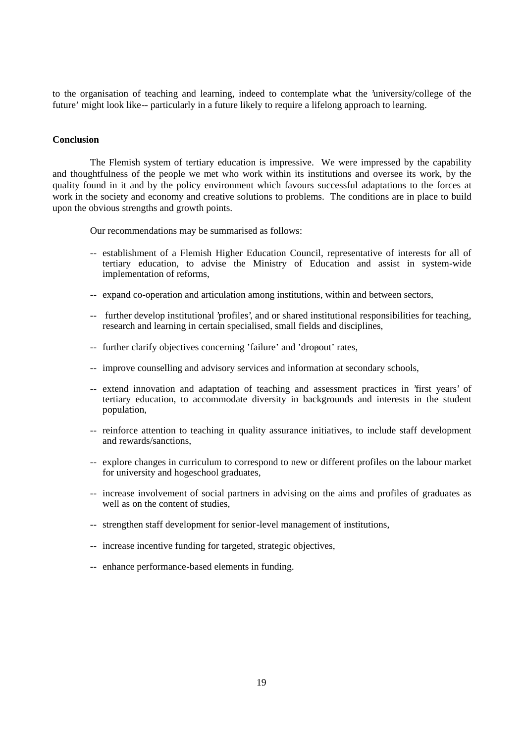to the organisation of teaching and learning, indeed to contemplate what the 'university/college of the future' might look like -- particularly in a future likely to require a lifelong approach to learning.

## **Conclusion**

The Flemish system of tertiary education is impressive. We were impressed by the capability and thoughtfulness of the people we met who work within its institutions and oversee its work, by the quality found in it and by the policy environment which favours successful adaptations to the forces at work in the society and economy and creative solutions to problems. The conditions are in place to build upon the obvious strengths and growth points.

Our recommendations may be summarised as follows:

- -- establishment of a Flemish Higher Education Council, representative of interests for all of tertiary education, to advise the Ministry of Education and assist in system-wide implementation of reforms,
- -- expand co-operation and articulation among institutions, within and between sectors,
- -- further develop institutional 'profiles', and or shared institutional responsibilities for teaching, research and learning in certain specialised, small fields and disciplines,
- -- further clarify objectives concerning 'failure' and 'dropout' rates,
- -- improve counselling and advisory services and information at secondary schools,
- -- extend innovation and adaptation of teaching and assessment practices in 'first years' of tertiary education, to accommodate diversity in backgrounds and interests in the student population,
- -- reinforce attention to teaching in quality assurance initiatives, to include staff development and rewards/sanctions,
- -- explore changes in curriculum to correspond to new or different profiles on the labour market for university and hogeschool graduates,
- -- increase involvement of social partners in advising on the aims and profiles of graduates as well as on the content of studies,
- -- strengthen staff development for senior-level management of institutions,
- -- increase incentive funding for targeted, strategic objectives,
- -- enhance performance-based elements in funding.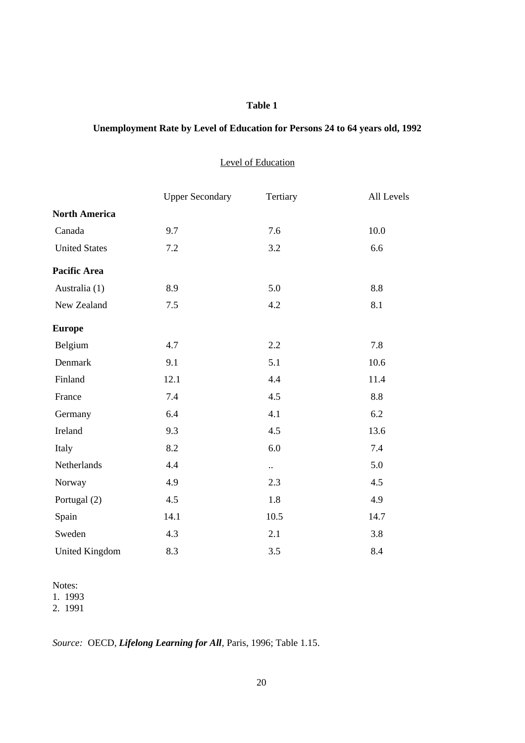## **Table 1**

# **Unemployment Rate by Level of Education for Persons 24 to 64 years old, 1992**

## Level of Education

|                       | <b>Upper Secondary</b> | Tertiary             | All Levels |
|-----------------------|------------------------|----------------------|------------|
| <b>North America</b>  |                        |                      |            |
| Canada                | 9.7                    | 7.6                  | 10.0       |
| <b>United States</b>  | 7.2                    | 3.2                  | 6.6        |
| <b>Pacific Area</b>   |                        |                      |            |
| Australia (1)         | 8.9                    | 5.0                  | 8.8        |
| New Zealand           | 7.5                    | 4.2                  | 8.1        |
| <b>Europe</b>         |                        |                      |            |
| Belgium               | 4.7                    | 2.2                  | 7.8        |
| Denmark               | 9.1                    | 5.1                  | 10.6       |
| Finland               | 12.1                   | 4.4                  | 11.4       |
| France                | 7.4                    | 4.5                  | 8.8        |
| Germany               | 6.4                    | 4.1                  | 6.2        |
| Ireland               | 9.3                    | 4.5                  | 13.6       |
| Italy                 | 8.2                    | 6.0                  | 7.4        |
| Netherlands           | 4.4                    | $\ddot{\phantom{1}}$ | 5.0        |
| Norway                | 4.9                    | 2.3                  | 4.5        |
| Portugal (2)          | 4.5                    | 1.8                  | 4.9        |
| Spain                 | 14.1                   | 10.5                 | 14.7       |
| Sweden                | 4.3                    | 2.1                  | 3.8        |
| <b>United Kingdom</b> | 8.3                    | 3.5                  | 8.4        |

Notes:

1. 1993

2. 1991

*Source:* OECD, *Lifelong Learning for All*, Paris, 1996; Table 1.15.